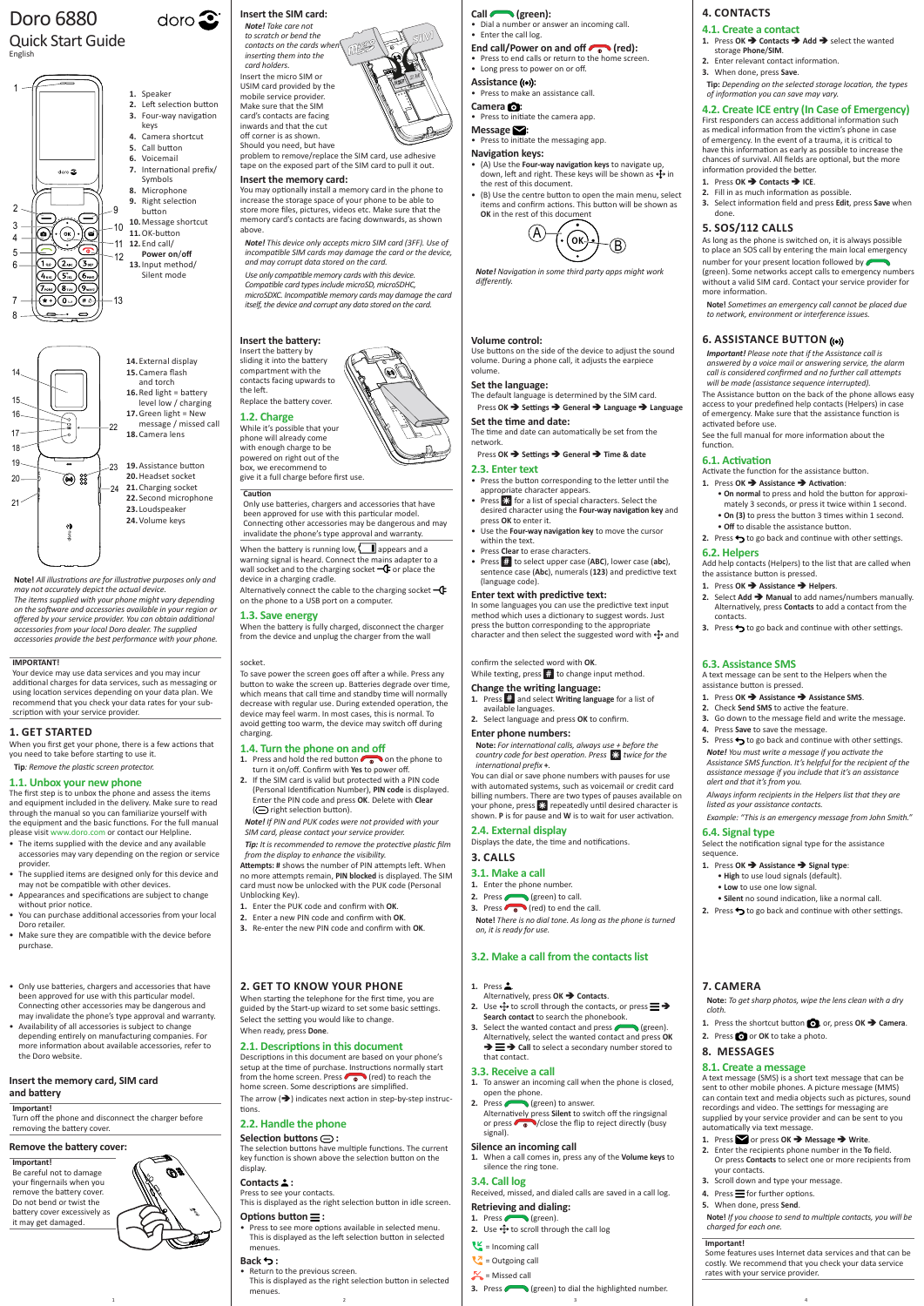**Note!** *All illustrations are for illustrative purposes only and may not accurately depict the actual device. The items supplied with your phone might vary depending on the software and accessories available in your region or offered by your service provider. You can obtain additional accessories from your local Doro dealer. The supplied accessories provide the best performance with your phone.*

### **2. GET TO KNOW YOUR PHONE**

The arrow  $(\rightarrow)$  indicates next action in step-by-step instructions.

When starting the telephone for the first time, you are guided by the Start-up wizard to set some basic settings. Select the setting you would like to change. When ready, press **Done**.

#### **2.1. Descriptions in this document**

1 and  $\begin{array}{ccc} 1 & 3 & 4 \end{array}$ • Return to the previous screen. This is displayed as the right selection button in selected menues.

Descriptions in this document are based on your phone's setup at the time of purchase. Instructions normally start from the home screen. Press  $\bigcirc$  (red) to reach the home screen. Some descriptions are simplified.

- **2.** Use  $\bigoplus$  to scroll through the contacts, or press  $\equiv \Rightarrow$ **Search contact** to search the phonebook.
- **3.** Select the wanted contact and press (selection). Alternatively, select the wanted contact and press **OK**   $\rightarrow \equiv \rightarrow$  Call to select a secondary number stored to that contact.

### **2.2. Handle the phone**

#### **Selection buttons :**

The selection buttons have multiple functions. The current key function is shown above the selection button on the display.

### **Contacts :**

Press to see your contacts.

This is displayed as the right selection button in idle screen.

### **Options button :**

• Press to see more options available in selected menu. This is displayed as the left selection button in selected menues.

### **Back :**

problem to remove/replace the SIM card, use adhesive tape on the exposed part of the SIM card to pull it out.

**1.** Press .

Alternatively, press **OK Contacts**.

### **3.3. Receive a call**

- **1.** To answer an incoming call when the phone is closed, open the phone.
- **2.** Press (**green**) to answer.
- Alternatively press **Silent** to switch off the ringsignal or press  $\bigcirc$  /close the flip to reject directly (busy signal).

### **Silence an incoming call**

**1.** When a call comes in, press any of the **Volume keys** to silence the ring tone.

### **3.4. Call log**

When the battery is running low,  $\Box$  appears and a warning signal is heard. Connect the mains adapter to a wall socket and to the charging socket  $-\mathbb{C}$  or place the device in a charging cradle.

Received, missed, and dialed calls are saved in a call log.

Alternatively connect the cable to the charging socket  $-\mathbb{G}$ on the phone to a USB port on a computer.

#### **Retrieving and dialing:**

- 1. Press (green).
- **2.** Use  $\bigoplus$  to scroll through the call log
- $\epsilon$  = Incoming call
- $\sqrt{2}$  = Outgoing call

 $\sim$  = Missed call

**3.** Press (green) to dial the highlighted number.

# Doro 6880

### Quick Start Guide English

### **Insert the SIM card:**

**SIM**

**SIM**

*Note! Take care not to scratch or bend the*   $contacts on the cards$  when *inserting them into the card holders.* Insert the micro SIM or USIM card provided by the mobile service provider. Make sure that the SIM card's contacts are facing inwards and that the cut off corner is as shown.

- **1.** Press and hold the red button **or** on the phone to turn it on/off. Confirm with **Yes** to power off.
- **2.** If the SIM card is valid but protected with a PIN code (Personal Identification Number), **PIN code** is displayed. Enter the PIN code and press **OK**. Delete with **Clear**
- ( $\ominus$  right selection button). *Note! If PIN and PUK codes were not provided with your*
- *SIM card, please contact your service provider.*

Should you need, but have

#### **Insert the memory card:**

- Press to end calls or return to the home screen.
- Long press to power on or off.
- **Assistance ((e)):**
- Press to make an assistance call.
- **Camera :** • Press to initiate the camera app.
- **Message :**
- Press to initiate the messaging app.

You may optionally install a memory card in the phone to increase the storage space of your phone to be able to store more files, pictures, videos etc. Make sure that the memory card's contacts are facing downwards, as shown above.

*Note! This device only accepts micro SIM card (3FF). Use of*  24 *incompatible SIM cards may damage the card or the device, and may corrupt data stored on the card.*

*Use only compatible memory cards with this device. Compatible card types include microSD, microSDHC, microSDXC. Incompatible memory cards may damage the card itself, the device and corrupt any data stored on the card.*

### Press OK **→** Settings → General → Time & date **2.3. Enter text**

### **Insert the battery:**

Insert the battery by sliding it into the battery compartment with the contacts facing upwards to the left. Replace the battery cover.

> In some languages you can use the predictive text input method which uses a dictionary to suggest words. Just press the button corresponding to the appropriate character and then select the suggested word with  $\bigoplus$  and

#### **1.2. Charge**

While it's possible that your phone will already come with enough charge to be powered on right out of the box, we erecommend to give it a full charge before first use.

#### **Caution**

**1.** Press  $\dddot{m}$  and select **Writing language** for a list of available languages.

Only use batteries, chargers and accessories that have been approved for use with this particular model. Connecting other accessories may be dangerous and may invalidate the phone's type approval and warranty.

### **1.3. Save energy**

When the battery is fully charged, disconnect the charger from the device and unplug the charger from the wall

#### socket.

To save power the screen goes off after a while. Press any button to wake the screen up. Batteries degrade over time, which means that call time and standby time will normally decrease with regular use. During extended operation, the device may feel warm. In most cases, this is normal. To avoid getting too warm, the device may switch off during charging.

#### **1.4. Turn the phone on and off**

• **Off** to disable the assistance button. **2.** Press  $\rightarrow$  to go back and continue with other settings.

*Tip: It is recommended to remove the protective plastic film from the display to enhance the visibility.*

**Attempts: #** shows the number of PIN attempts left. When no more attempts remain, **PIN blocked** is displayed. The SIM card must now be unlocked with the PUK code (Personal Unblocking Key).

- **1.** Enter the PUK code and confirm with **OK**.
- **2.** Enter a new PIN code and confirm with **OK**. **3.** Re-enter the new PIN code and confirm with **OK**.
- 

**5.** Press  $\rightarrow$  to go back and continue with other settings. *Note! You must write a message if you activate the Assistance SMS function. It's helpful for the recipient of the assistance message if you include that it's an assistance* 

#### **Call (green):**

• Dial a number or answer an incoming call. • Enter the call log.

## End call/Power on and off (red):

• **Silent** no sound indication, like a normal call. **2.** Press  $\rightarrow$  to go back and continue with other settings.

#### **Navigation keys:**

- (A) Use the **Four-way navigation keys** to navigate up, down, left and right. These keys will be shown as  $\bigoplus$  in the rest of this document.
- (B) Use the centre button to open the main menu, select items and confirm actions. This button will be shown as **OK** in the rest of this document

- **1.** Press **■** or press **OK →** Message → Write.
- **2.** Enter the recipients phone number in the **To** field. Or press **Contacts** to select one or more recipients from your contacts.
- **3.** Scroll down and type your message.
- 4. Press  $\equiv$  for further options.
- **5.** When done, press **Send**.



*Note! Navigation in some third party apps might work differently.*

#### **Volume control:**

Use buttons on the side of the device to adjust the sound volume. During a phone call, it adjusts the earpiece volume.

#### **Set the language:**

The default language is determined by the SIM card. Press **OK Settings General Language Language**

#### **Set the time and date:**

The time and date can automatically be set from the network.

- Only use batteries, chargers and accessories that hav been approved for use with this particular model. Connecting other accessories may be dangerous and may invalidate the phone's type approval and warranty.
- Availability of all accessories is subject to change depending entirely on manufacturing companies. For more information about available accessories, refer to the Doro website.
- Press the button corresponding to the letter until the appropriate character appears.
- Press  $\mathbb{R}$  for a list of special characters. Select the desired character using the **Four-way navigation key** and press **OK** to enter it.
- Use the **Four-way navigation key** to move the cursor within the text.
- Press **Clear** to erase characters.
- Press # to select upper case (**ABC**), lower case (**abc**), sentence case (**Abc**), numerals (**123**) and predictive text (language code).

#### **Enter text with predictive text:**

### confirm the selected word with **OK**.

While texting, press  $#$  to change input method.

#### **Change the writing language:**

### **2.** Select language and press **OK** to confirm.

#### **Enter phone numbers:**

**Note:** *For international calls, always use + before the country code for best operation. Press* \* *twice for the international prefix* **+***.*

You can dial or save phone numbers with pauses for use with automated systems, such as voicemail or credit card billing numbers. There are two types of pauses available on your phone, press  $\mathcal{X}$  repeatedly until desired character is shown. **P** is for pause and **W** is to wait for user activation.

#### **2.4. External display** Displays the date, the time and notifications.

### **3. CALLS**

#### **3.1. Make a call**

- **1.** Enter the phone number.
- **2.** Press (sreen) to call.
- **3.** Press  $\left( \begin{matrix} 1 \\ 0 \end{matrix} \right)$  (red) to end the call.
- **Note!** *There is no dial tone. As long as the phone is turned on, it is ready for use.*

#### **3.2. Make a call from the contacts list**

## **4. CONTACTS**

- **4.1. Create a contact 1.** Press OK → Contacts → Add → select the wanted storage **Phone**/**SIM**.
- **2.** Enter relevant contact information.
- **3.** When done, press **Save**.
	- **Tip:** *Depending on the selected storage location, the types of information you can save may vary.*

**4.2. Create ICE entry (In Case of Emergency)** First responders can access additional information such as medical information from the victim's phone in case of emergency. In the event of a trauma, it is critical to have this information as early as possible to increase the chances of survival. All fields are optional, but the more

information provided the better. **1.** Press **OK → Contacts → ICE**. **2.** Fill in as much information as possible.

**3.** Select information field and press **Edit**, press **Save** when

done.

**5. SOS/112 CALLS**

As long as the phone is switched on, it is always possible to place an SOS call by entering the main local emergency number for your present location followed by (green). Some networks accept calls to emergency numbers without a valid SIM card. Contact your service provider for

more information.

**Note!** *Sometimes an emergency call cannot be placed due* 

*to network, environment or interference issues.*

**6. ASSISTANCE BUTTON** 

*Important! Please note that if the Assistance call is answered by a voice mail or answering service, the alarm call is considered confirmed and no further call attempts will be made (assistance sequence interrupted).*

The Assistance button on the back of the phone allows easy access to your predefined help contacts (Helpers) in case of emergency. Make sure that the assistance function is

activated before use.

See the full manual for more information about the

function.

**6.1. Activation**

Activate the function for the assistance button. **1.** Press **OK Assistance Activation**:

> • **On normal** to press and hold the button for approximately 3 seconds, or press it twice within 1 second. • **On (3)** to press the button 3 times within 1 second.

**6.2. Helpers**

Add help contacts (Helpers) to the list that are called when

the assistance button is pressed. **1.** Press **OK Assistance Helpers**.

**2.** Select **Add Manual** to add names/numbers manually. Alternatively, press **Contacts** to add a contact from the

**3.** Press  $\rightarrow$  to go back and continue with other settings.

contacts.

**6.3. Assistance SMS**

A text message can be sent to the Helpers when the

assistance button is pressed.

**1.** Press **OK Assistance Assistance SMS**. **2.** Check **Send SMS** to active the feature.

**3.** Go down to the message field and write the message.

**4.** Press **Save** to save the message.

*alert and that it's from you.*

*Always inform recipients in the Helpers list that they are* 

*listed as your assistance contacts.*

*Example: "This is an emergency message from John Smith."*

**6.4. Signal type**

sequence.

Select the notification signal type for the assistance

**1.** Press **OK Assistance Signal type**: • **High** to use loud signals (default). • **Low** to use one low signal.

#### **7. CAMERA**

**Note:** *To get sharp photos, wipe the lens clean with a dry cloth.*

- **1.** Press the shortcut button **o**, or, press OK  $\rightarrow$  Camera.
- **2.** Press **O** or **OK** to take a photo.

### **8. MESSAGES**

### **8.1. Create a message**

A text message (SMS) is a short text message that can be sent to other mobile phones. A picture message (MMS) can contain text and media objects such as pictures, sound recordings and video. The settings for messaging are supplied by your service provider and can be sent to you automatically via text message.

**Note!** *If you choose to send to multiple contacts, you will be charged for each one.*

#### **Important!**

Some features uses Internet data services and that can be costly. We recommend that you check your data service rates with your service provider.





23 **19.**Assistance button **15.**Camera flash and torch **16.**Red light = battery level low / charging **17.**Green light = New message / missed call **18.**Camera lens

24 **21.**Charging socket **20.**Headset socket **22.**Second microphone **23.** Loudspeaker **24.**Volume keys

**14.**External display

 $\text{doro}$ 

#### **Insert the memory card, SIM card and battery**

#### **Important!**

Turn off the phone and disconnect the charger before removing the battery cover.

#### **Remove the battery cover:**

#### **Important!**

Be careful not to damage your fingernails when you remove the battery cover. Do not bend or twist the battery cover excessively as it may get damaged.



#### **IMPORTANT!**

Your device may use data services and you may incur additional charges for data services, such as messaging or using location services depending on your data plan. We recommend that you check your data rates for your subscription with your service provider.

### **1. GET STARTED**

When you first get your phone, there is a few actions that you need to take before starting to use it.

**Tip***: Remove the plastic screen protector.*

#### **1.1. Unbox your new phone**

The first step is to unbox the phone and assess the items and equipment included in the delivery. Make sure to read through the manual so you can familiarize yourself with the equipment and the basic functions. For the full manual please visit www.doro.com or contact our Helpline.

- The items supplied with the device and any available accessories may vary depending on the region or service provider
- The supplied items are designed only for this device and may not be compatible with other devices.
- Appearances and specifications are subject to change without prior notice.
- You can purchase additional accessories from your local Doro retailer.
- Make sure they are compatible with the device before purchase.